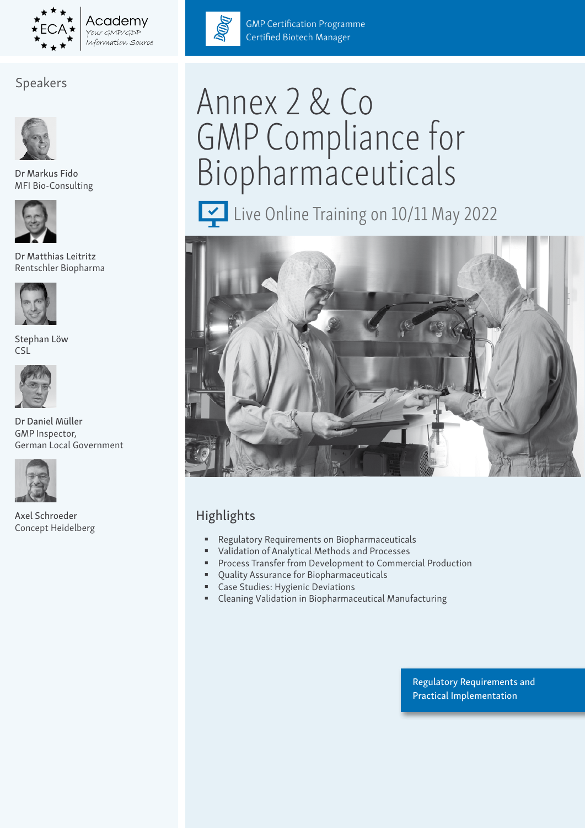

## Speakers



Dr Markus Fido MFI Bio-Consulting



Dr Matthias Leitritz Rentschler Biopharma



Stephan Löw CSL



Dr Daniel Müller GMP Inspector, German Local Government



Axel Schroeder Concept Heidelberg



GMP Certification Programme Certified Biotech Manager

# Annex 2 & Co GMP Compliance for Biopharmaceuticals

Live Online Training on 10/11 May 2022



# Highlights

- **Regulatory Requirements on Biopharmaceuticals**
- Validation of Analytical Methods and Processes
- Process Transfer from Development to Commercial Production
- Quality Assurance for Biopharmaceuticals
- Case Studies: Hygienic Deviations
- Cleaning Validation in Biopharmaceutical Manufacturing

Regulatory Requirements and Practical Implementation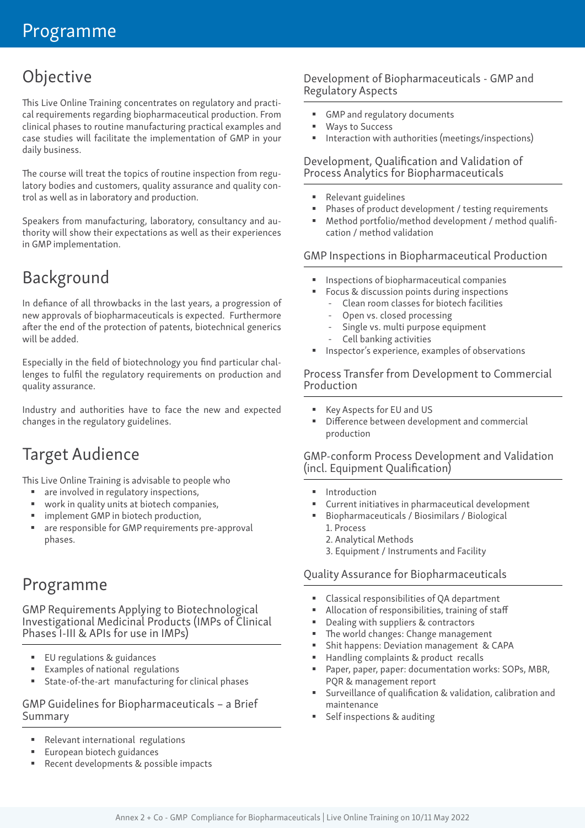# Objective

This Live Online Training concentrates on regulatory and practical requirements regarding biopharmaceutical production. From clinical phases to routine manufacturing practical examples and case studies will facilitate the implementation of GMP in your daily business.

The course will treat the topics of routine inspection from regulatory bodies and customers, quality assurance and quality control as well as in laboratory and production.

Speakers from manufacturing, laboratory, consultancy and authority will show their expectations as well as their experiences in GMP implementation.

# Background

In defiance of all throwbacks in the last years, a progression of new approvals of biopharmaceuticals is expected. Furthermore after the end of the protection of patents, biotechnical generics will be added.

Especially in the field of biotechnology you find particular challenges to fulfil the regulatory requirements on production and quality assurance.

Industry and authorities have to face the new and expected changes in the regulatory guidelines.

# Target Audience

This Live Online Training is advisable to people who

- **are involved in regulatory inspections,**
- work in quality units at biotech companies,
- **EXECUTE:** implement GMP in biotech production,
- are responsible for GMP requirements pre-approval phases.

# Programme

GMP Requirements Applying to Biotechnological Investigational Medicinal Products (IMPs of Clinical Phases I-III & APIs for use in IMPs)

- EU regulations & guidances
- Examples of national regulations
- State-of-the-art manufacturing for clinical phases

### GMP Guidelines for Biopharmaceuticals – a Brief Summary

- Relevant international regulations
- European biotech guidances
- Recent developments & possible impacts

### Development of Biopharmaceuticals - GMP and Regulatory Aspects

- GMP and regulatory documents
- Ways to Success
- Interaction with authorities (meetings/inspections)

#### Development, Qualification and Validation of Process Analytics for Biopharmaceuticals

- Relevant guidelines
- Phases of product development / testing requirements
- Method portfolio/method development / method qualification / method validation

### GMP Inspections in Biopharmaceutical Production

- **Inspections of biopharmaceutical companies**
- Focus & discussion points during inspections
	- Clean room classes for biotech facilities Open vs. closed processing
	- Single vs. multi purpose equipment
	- Cell banking activities
- Inspector's experience, examples of observations

#### Process Transfer from Development to Commercial Production

- Key Aspects for EU and US
- Difference between development and commercial production

### GMP-conform Process Development and Validation (incl. Equipment Qualification)

- Introduction
- Current initiatives in pharmaceutical development
- Biopharmaceuticals / Biosimilars / Biological 1. Process
	- 2. Analytical Methods
	- 3. Equipment / Instruments and Facility

### Quality Assurance for Biopharmaceuticals

- Classical responsibilities of QA department
- Allocation of responsibilities, training of staff
- Dealing with suppliers & contractors
- The world changes: Change management
- Shit happens: Deviation management & CAPA
- Handling complaints & product recalls
- Paper, paper, paper: documentation works: SOPs, MBR, PQR & management report
- Surveillance of qualification & validation, calibration and maintenance
- Self inspections & auditing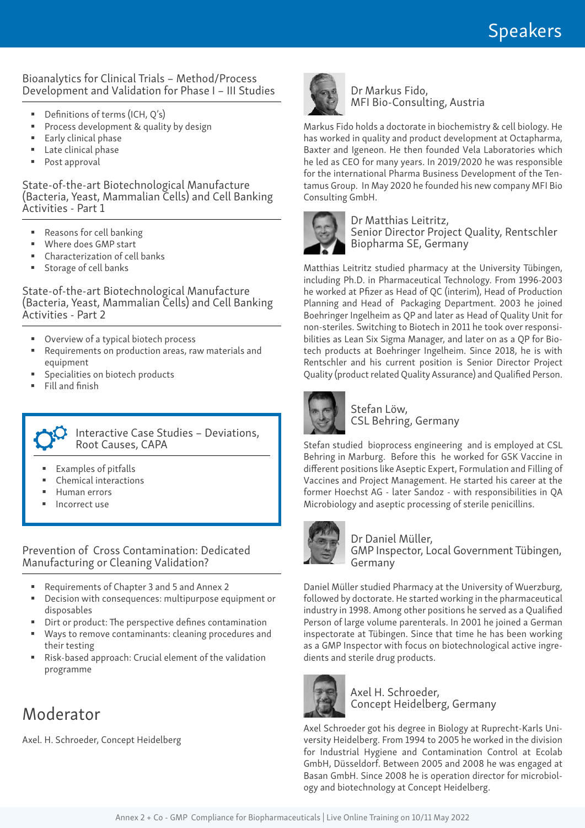### Bioanalytics for Clinical Trials – Method/Process Development and Validation for Phase I – III Studies

- Definitions of terms (ICH, O's)
- **Process development & quality by design**
- **Early clinical phase**
- **Late clinical phase**
- Post approval

State-of-the-art Biotechnological Manufacture (Bacteria, Yeast, Mammalian Cells) and Cell Banking Activities - Part 1

- Reasons for cell banking
- Where does GMP start
- Characterization of cell banks
- Storage of cell banks

State-of-the-art Biotechnological Manufacture (Bacteria, Yeast, Mammalian Cells) and Cell Banking Activities - Part 2

- Overview of a typical biotech process
- Requirements on production areas, raw materials and equipment
- Specialities on biotech products
- " Fill and finish

Interactive Case Studies – Deviations, Root Causes, CAPA

- Examples of pitfalls
- Chemical interactions
- Human errors
- Incorrect use

Prevention of Cross Contamination: Dedicated Manufacturing or Cleaning Validation?

- Requirements of Chapter 3 and 5 and Annex 2
- Decision with consequences: multipurpose equipment or disposables
- Dirt or product: The perspective defines contamination
- Ways to remove contaminants: cleaning procedures and their testing
- Risk-based approach: Crucial element of the validation programme

# Moderator

Axel. H. Schroeder, Concept Heidelberg



### Dr Markus Fido, MFI Bio-Consulting, Austria

Markus Fido holds a doctorate in biochemistry & cell biology. He has worked in quality and product development at Octapharma, Baxter and Igeneon. He then founded Vela Laboratories which he led as CEO for many years. In 2019/2020 he was responsible for the international Pharma Business Development of the Tentamus Group. In May 2020 he founded his new company MFI Bio Consulting GmbH.



#### Dr Matthias Leitritz, Senior Director Project Quality, Rentschler Biopharma SE, Germany

Matthias Leitritz studied pharmacy at the University Tübingen, including Ph.D. in Pharmaceutical Technology. From 1996-2003 he worked at Pfizer as Head of QC (interim), Head of Production Planning and Head of Packaging Department. 2003 he joined Boehringer Ingelheim as QP and later as Head of Quality Unit for non-steriles. Switching to Biotech in 2011 he took over responsibilities as Lean Six Sigma Manager, and later on as a QP for Biotech products at Boehringer Ingelheim. Since 2018, he is with Rentschler and his current position is Senior Director Project Quality (product related Quality Assurance) and Qualified Person.



### Stefan Löw, CSL Behring, Germany

Stefan studied bioprocess engineering and is employed at CSL Behring in Marburg. Before this he worked for GSK Vaccine in different positions like Aseptic Expert, Formulation and Filling of Vaccines and Project Management. He started his career at the former Hoechst AG - later Sandoz - with responsibilities in QA Microbiology and aseptic processing of sterile penicillins.



#### Dr Daniel Müller, GMP Inspector, Local Government Tübingen, Germany

Daniel Müller studied Pharmacy at the University of Wuerzburg, followed by doctorate. He started working in the pharmaceutical industry in 1998. Among other positions he served as a Qualified Person of large volume parenterals. In 2001 he joined a German inspectorate at Tübingen. Since that time he has been working as a GMP Inspector with focus on biotechnological active ingredients and sterile drug products.



#### Axel H. Schroeder, Concept Heidelberg, Germany

Axel Schroeder got his degree in Biology at Ruprecht-Karls University Heidelberg. From 1994 to 2005 he worked in the division for Industrial Hygiene and Contamination Control at Ecolab GmbH, Düsseldorf. Between 2005 and 2008 he was engaged at Basan GmbH. Since 2008 he is operation director for microbiology and biotechnology at Concept Heidelberg.